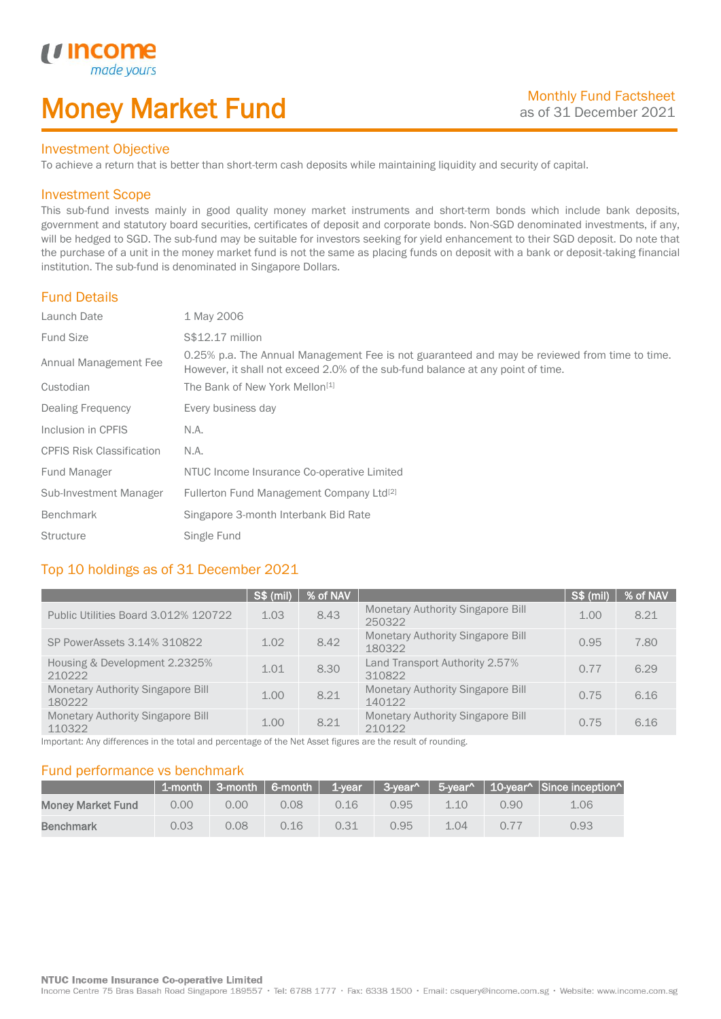# Money Market Fund

#### Investment Objective

made yo

*u* incom

I

To achieve a return that is better than short-term cash deposits while maintaining liquidity and security of capital.

#### Investment Scope

This sub-fund invests mainly in good quality money market instruments and short-term bonds which include bank deposits, government and statutory board securities, certificates of deposit and corporate bonds. Non-SGD denominated investments, if any, will be hedged to SGD. The sub-fund may be suitable for investors seeking for yield enhancement to their SGD deposit. Do note that the purchase of a unit in the money market fund is not the same as placing funds on deposit with a bank or deposit-taking financial institution. The sub-fund is denominated in Singapore Dollars.

#### Fund Details

| Launch Date                      | 1 May 2006                                                                                                                                                                       |
|----------------------------------|----------------------------------------------------------------------------------------------------------------------------------------------------------------------------------|
| <b>Fund Size</b>                 | S\$12.17 million                                                                                                                                                                 |
| Annual Management Fee            | 0.25% p.a. The Annual Management Fee is not guaranteed and may be reviewed from time to time.<br>However, it shall not exceed 2.0% of the sub-fund balance at any point of time. |
| Custodian                        | The Bank of New York Mellon <sup>[1]</sup>                                                                                                                                       |
| Dealing Frequency                | Every business day                                                                                                                                                               |
| Inclusion in CPFIS               | N.A.                                                                                                                                                                             |
| <b>CPFIS Risk Classification</b> | N.A.                                                                                                                                                                             |
| Fund Manager                     | NTUC Income Insurance Co-operative Limited                                                                                                                                       |
| Sub-Investment Manager           | Fullerton Fund Management Company Ltd <sup>[2]</sup>                                                                                                                             |
| Benchmark                        | Singapore 3-month Interbank Bid Rate                                                                                                                                             |
| <b>Structure</b>                 | Single Fund                                                                                                                                                                      |

### Top 10 holdings as of 31 December 2021

|                                                    | S\$ (mil) | $%$ of NAV |                                                    | <b>S\$ (mil)</b> | % of NAV |
|----------------------------------------------------|-----------|------------|----------------------------------------------------|------------------|----------|
| Public Utilities Board 3.012% 120722               | 1.03      | 8.43       | <b>Monetary Authority Singapore Bill</b><br>250322 | 1.00             | 8.21     |
| SP PowerAssets 3.14% 310822                        | 1.02      | 8.42       | Monetary Authority Singapore Bill<br>180322        | 0.95             | 7.80     |
| Housing & Development 2.2325%<br>210222            | 1.01      | 8.30       | Land Transport Authority 2.57%<br>310822           | 0.77             | 6.29     |
| Monetary Authority Singapore Bill<br>180222        | 1.00      | 8.21       | <b>Monetary Authority Singapore Bill</b><br>140122 | 0.75             | 6.16     |
| <b>Monetary Authority Singapore Bill</b><br>110322 | 1.00      | 8.21       | <b>Monetary Authority Singapore Bill</b><br>210122 | 0.75             | 6.16     |

Important: Any differences in the total and percentage of the Net Asset figures are the result of rounding.

#### Fund performance vs benchmark

|                          |      |      |      |      |      |      |      | 1-month 3-month 6-month 1-year 3-year 5-year 10-year $\sim$ 10-year Since inception |
|--------------------------|------|------|------|------|------|------|------|-------------------------------------------------------------------------------------|
| <b>Money Market Fund</b> | 0.00 | 0.00 | 0.08 | 0.16 | 0.95 | 1.10 | 0.90 | 1.06                                                                                |
| <b>Benchmark</b>         | 0.03 | 0.08 | 0.16 | 0.31 | 0.95 | 1.04 | 0.77 | 0.93                                                                                |